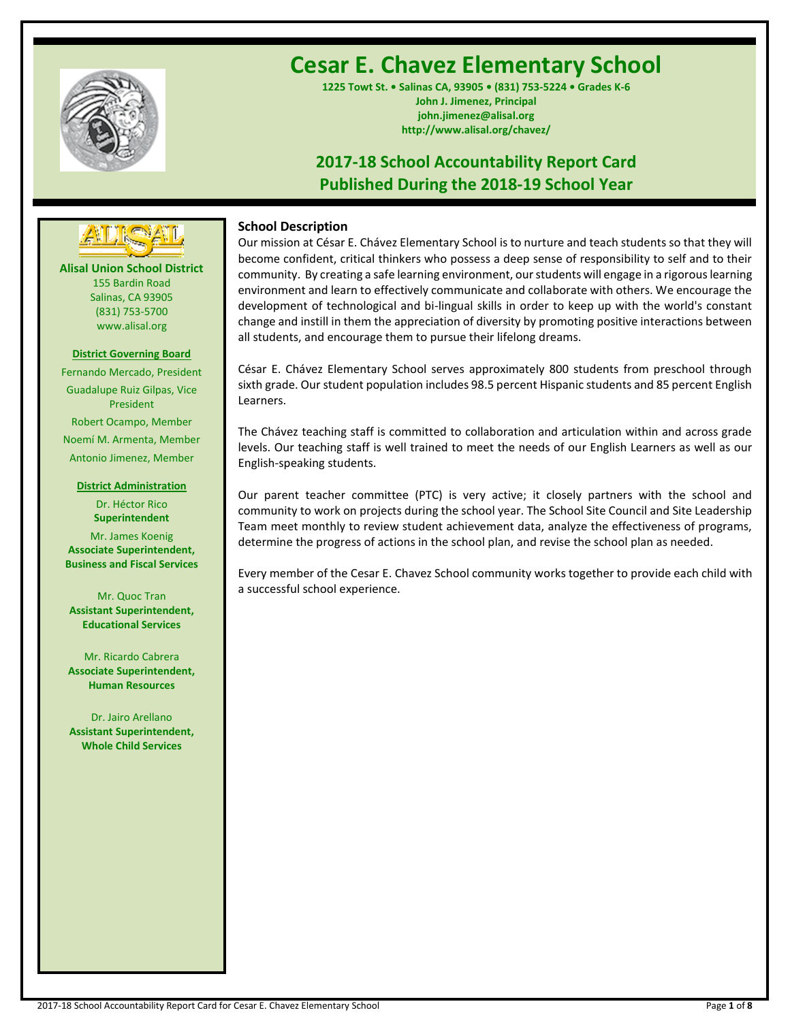

# **Cesar E. Chavez Elementary School**

**1225 Towt St. • Salinas CA, 93905 • (831) 753-5224 • Grades K-6 John J. Jimenez, Principal john.jimenez@alisal.org http://www.alisal.org/chavez/**

## **2017-18 School Accountability Report Card Published During the 2018-19 School Year**



**Alisal Union School District** 155 Bardin Road Salinas, CA 93905 (831) 753-5700 www.alisal.org

#### **District Governing Board**

Fernando Mercado, President Guadalupe Ruiz Gilpas, Vice President Robert Ocampo, Member Noemí M. Armenta, Member Antonio Jimenez, Member

#### **District Administration**

Dr. Héctor Rico **Superintendent** Mr. James Koenig **Associate Superintendent, Business and Fiscal Services**

Mr. Quoc Tran **Assistant Superintendent, Educational Services**

Mr. Ricardo Cabrera **Associate Superintendent, Human Resources**

Dr. Jairo Arellano **Assistant Superintendent, Whole Child Services**

## **School Description**

Our mission at César E. Chávez Elementary School is to nurture and teach students so that they will become confident, critical thinkers who possess a deep sense of responsibility to self and to their community. By creating a safe learning environment, ourstudents will engage in a rigorous learning environment and learn to effectively communicate and collaborate with others. We encourage the development of technological and bi-lingual skills in order to keep up with the world's constant change and instill in them the appreciation of diversity by promoting positive interactions between all students, and encourage them to pursue their lifelong dreams.

César E. Chávez Elementary School serves approximately 800 students from preschool through sixth grade. Our student population includes 98.5 percent Hispanic students and 85 percent English Learners.

The Chávez teaching staff is committed to collaboration and articulation within and across grade levels. Our teaching staff is well trained to meet the needs of our English Learners as well as our English-speaking students.

Our parent teacher committee (PTC) is very active; it closely partners with the school and community to work on projects during the school year. The School Site Council and Site Leadership Team meet monthly to review student achievement data, analyze the effectiveness of programs, determine the progress of actions in the school plan, and revise the school plan as needed.

Every member of the Cesar E. Chavez School community works together to provide each child with a successful school experience.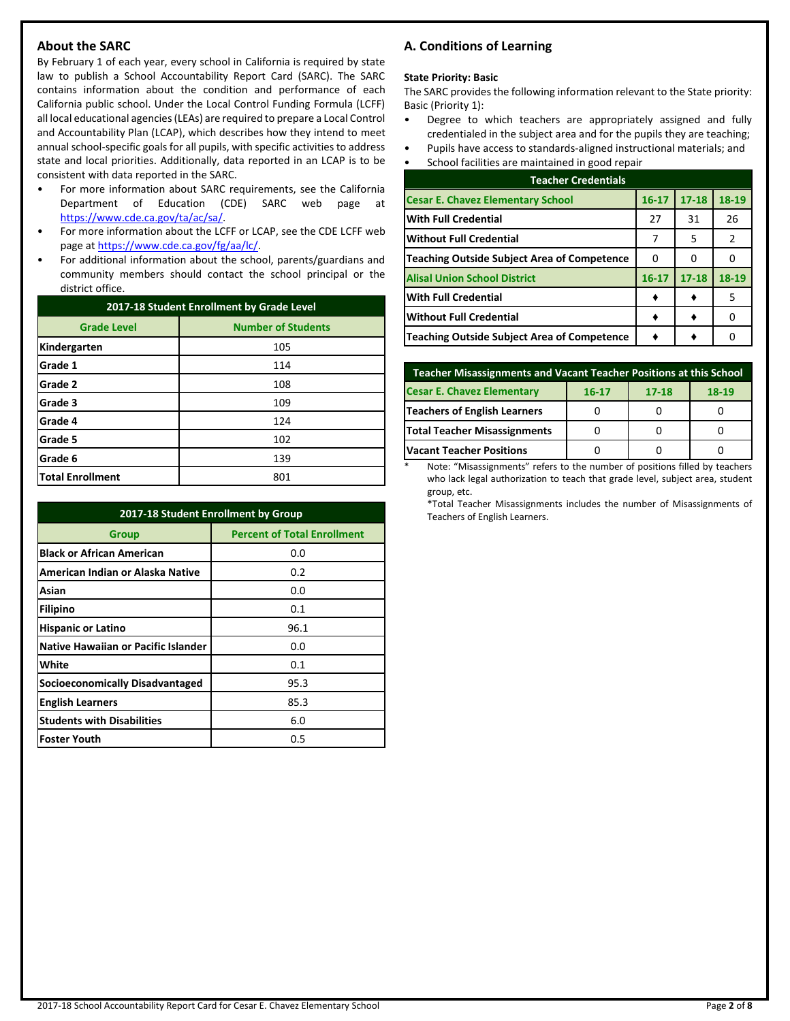## **About the SARC**

By February 1 of each year, every school in California is required by state law to publish a School Accountability Report Card (SARC). The SARC contains information about the condition and performance of each California public school. Under the Local Control Funding Formula (LCFF) all local educational agencies (LEAs) are required to prepare a Local Control and Accountability Plan (LCAP), which describes how they intend to meet annual school-specific goals for all pupils, with specific activities to address state and local priorities. Additionally, data reported in an LCAP is to be consistent with data reported in the SARC.

- For more information about SARC requirements, see the California Department of Education (CDE) SARC web page at [https://www.cde.ca.gov/ta/ac/sa/.](https://www.cde.ca.gov/ta/ac/sa/)
- For more information about the LCFF or LCAP, see the CDE LCFF web page at [https://www.cde.ca.gov/fg/aa/lc/.](https://www.cde.ca.gov/fg/aa/lc/)
- For additional information about the school, parents/guardians and community members should contact the school principal or the district office.

| 2017-18 Student Enrollment by Grade Level |                           |  |  |
|-------------------------------------------|---------------------------|--|--|
| <b>Grade Level</b>                        | <b>Number of Students</b> |  |  |
| Kindergarten                              | 105                       |  |  |
| Grade 1                                   | 114                       |  |  |
| Grade 2                                   | 108                       |  |  |
| Grade 3                                   | 109                       |  |  |
| Grade 4                                   | 124                       |  |  |
| Grade 5                                   | 102                       |  |  |
| Grade 6                                   | 139                       |  |  |
| <b>Total Enrollment</b>                   | 801                       |  |  |

| 2017-18 Student Enrollment by Group        |                                    |  |  |  |  |
|--------------------------------------------|------------------------------------|--|--|--|--|
| <b>Group</b>                               | <b>Percent of Total Enrollment</b> |  |  |  |  |
| <b>Black or African American</b>           | 0.0                                |  |  |  |  |
| American Indian or Alaska Native           | 0.2                                |  |  |  |  |
| Asian                                      | 0.0                                |  |  |  |  |
| Filipino                                   | 0.1                                |  |  |  |  |
| <b>Hispanic or Latino</b>                  | 96.1                               |  |  |  |  |
| <b>Native Hawaiian or Pacific Islander</b> | 0.0                                |  |  |  |  |
| White                                      | 0.1                                |  |  |  |  |
| <b>Socioeconomically Disadvantaged</b>     | 95.3                               |  |  |  |  |
| <b>English Learners</b>                    | 85.3                               |  |  |  |  |
| <b>Students with Disabilities</b>          | 6.0                                |  |  |  |  |
| <b>Foster Youth</b>                        | 0.5                                |  |  |  |  |

## **A. Conditions of Learning**

#### **State Priority: Basic**

The SARC provides the following information relevant to the State priority: Basic (Priority 1):

- Degree to which teachers are appropriately assigned and fully credentialed in the subject area and for the pupils they are teaching;
- Pupils have access to standards-aligned instructional materials; and
- School facilities are maintained in good repair

| <b>Teacher Credentials</b>                         |           |           |       |  |  |
|----------------------------------------------------|-----------|-----------|-------|--|--|
| <b>Cesar E. Chavez Elementary School</b>           | $16 - 17$ | $17 - 18$ | 18-19 |  |  |
| <b>With Full Credential</b>                        | 27        | 31        | 26    |  |  |
| <b>Without Full Credential</b>                     | 7         | 5         | 2     |  |  |
| <b>Teaching Outside Subject Area of Competence</b> | 0         | 0         |       |  |  |
| <b>Alisal Union School District</b>                | $16 - 17$ | $17 - 18$ | 18-19 |  |  |
| <b>With Full Credential</b>                        |           |           | 5     |  |  |
| <b>Without Full Credential</b>                     |           |           |       |  |  |
| <b>Teaching Outside Subject Area of Competence</b> |           |           |       |  |  |

| <b>Teacher Misassignments and Vacant Teacher Positions at this School</b> |  |  |  |  |  |  |  |
|---------------------------------------------------------------------------|--|--|--|--|--|--|--|
| <b>Cesar E. Chavez Elementary</b><br>18-19<br>$17 - 18$<br>$16 - 17$      |  |  |  |  |  |  |  |
| Teachers of English Learners                                              |  |  |  |  |  |  |  |
| <b>Total Teacher Misassignments</b>                                       |  |  |  |  |  |  |  |
| <b>Vacant Teacher Positions</b>                                           |  |  |  |  |  |  |  |

Note: "Misassignments" refers to the number of positions filled by teachers who lack legal authorization to teach that grade level, subject area, student group, etc.

\*Total Teacher Misassignments includes the number of Misassignments of Teachers of English Learners.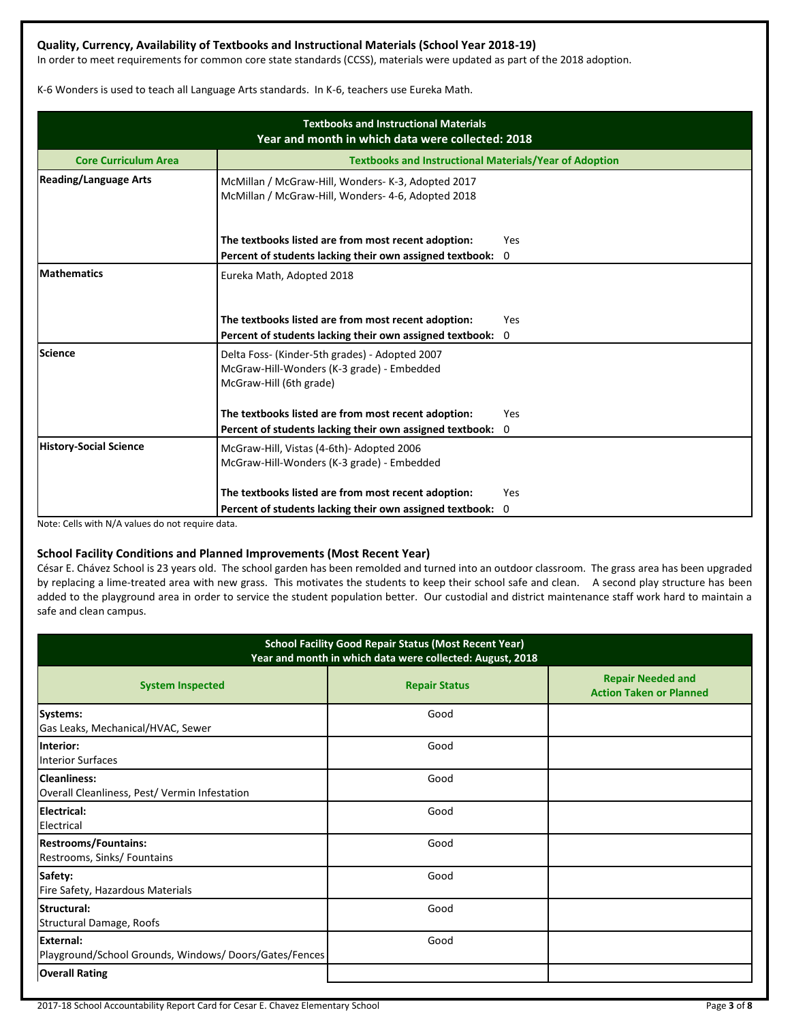## **Quality, Currency, Availability of Textbooks and Instructional Materials (School Year 2018-19)**

In order to meet requirements for common core state standards (CCSS), materials were updated as part of the 2018 adoption.

K-6 Wonders is used to teach all Language Arts standards. In K-6, teachers use Eureka Math.

| <b>Textbooks and Instructional Materials</b><br>Year and month in which data were collected: 2018 |                                                                                                                         |          |  |  |
|---------------------------------------------------------------------------------------------------|-------------------------------------------------------------------------------------------------------------------------|----------|--|--|
| <b>Core Curriculum Area</b>                                                                       | <b>Textbooks and Instructional Materials/Year of Adoption</b>                                                           |          |  |  |
| <b>Reading/Language Arts</b>                                                                      | McMillan / McGraw-Hill, Wonders- K-3, Adopted 2017<br>McMillan / McGraw-Hill, Wonders- 4-6, Adopted 2018                |          |  |  |
|                                                                                                   | The textbooks listed are from most recent adoption:                                                                     | Yes      |  |  |
| <b>Mathematics</b>                                                                                | Percent of students lacking their own assigned textbook: 0<br>Eureka Math, Adopted 2018                                 |          |  |  |
|                                                                                                   | The textbooks listed are from most recent adoption:<br>Percent of students lacking their own assigned textbook:         | Yes<br>0 |  |  |
| <b>Science</b>                                                                                    | Delta Foss- (Kinder-5th grades) - Adopted 2007<br>McGraw-Hill-Wonders (K-3 grade) - Embedded<br>McGraw-Hill (6th grade) |          |  |  |
|                                                                                                   | The textbooks listed are from most recent adoption:<br>Percent of students lacking their own assigned textbook: 0       | Yes      |  |  |
| <b>History-Social Science</b>                                                                     | McGraw-Hill, Vistas (4-6th)- Adopted 2006<br>McGraw-Hill-Wonders (K-3 grade) - Embedded                                 |          |  |  |
|                                                                                                   | The textbooks listed are from most recent adoption:<br>Percent of students lacking their own assigned textbook:         | Yes<br>0 |  |  |

Note: Cells with N/A values do not require data.

#### **School Facility Conditions and Planned Improvements (Most Recent Year)**

César E. Chávez School is 23 years old. The school garden has been remolded and turned into an outdoor classroom. The grass area has been upgraded by replacing a lime-treated area with new grass. This motivates the students to keep their school safe and clean. A second play structure has been added to the playground area in order to service the student population better. Our custodial and district maintenance staff work hard to maintain a safe and clean campus.

| <b>School Facility Good Repair Status (Most Recent Year)</b><br>Year and month in which data were collected: August, 2018 |                      |                                                            |  |  |  |
|---------------------------------------------------------------------------------------------------------------------------|----------------------|------------------------------------------------------------|--|--|--|
| <b>System Inspected</b>                                                                                                   | <b>Repair Status</b> | <b>Repair Needed and</b><br><b>Action Taken or Planned</b> |  |  |  |
| Systems:<br>Gas Leaks, Mechanical/HVAC, Sewer                                                                             | Good                 |                                                            |  |  |  |
| Interior:<br><b>Interior Surfaces</b>                                                                                     | Good                 |                                                            |  |  |  |
| Cleanliness:<br>Overall Cleanliness, Pest/Vermin Infestation                                                              | Good                 |                                                            |  |  |  |
| <b>Electrical:</b><br>Electrical                                                                                          | Good                 |                                                            |  |  |  |
| <b>Restrooms/Fountains:</b><br>Restrooms, Sinks/ Fountains                                                                | Good                 |                                                            |  |  |  |
| Safety:<br>Fire Safety, Hazardous Materials                                                                               | Good                 |                                                            |  |  |  |
| Structural:<br>Structural Damage, Roofs                                                                                   | Good                 |                                                            |  |  |  |
| External:<br>Playground/School Grounds, Windows/Doors/Gates/Fences                                                        | Good                 |                                                            |  |  |  |
| <b>Overall Rating</b>                                                                                                     |                      |                                                            |  |  |  |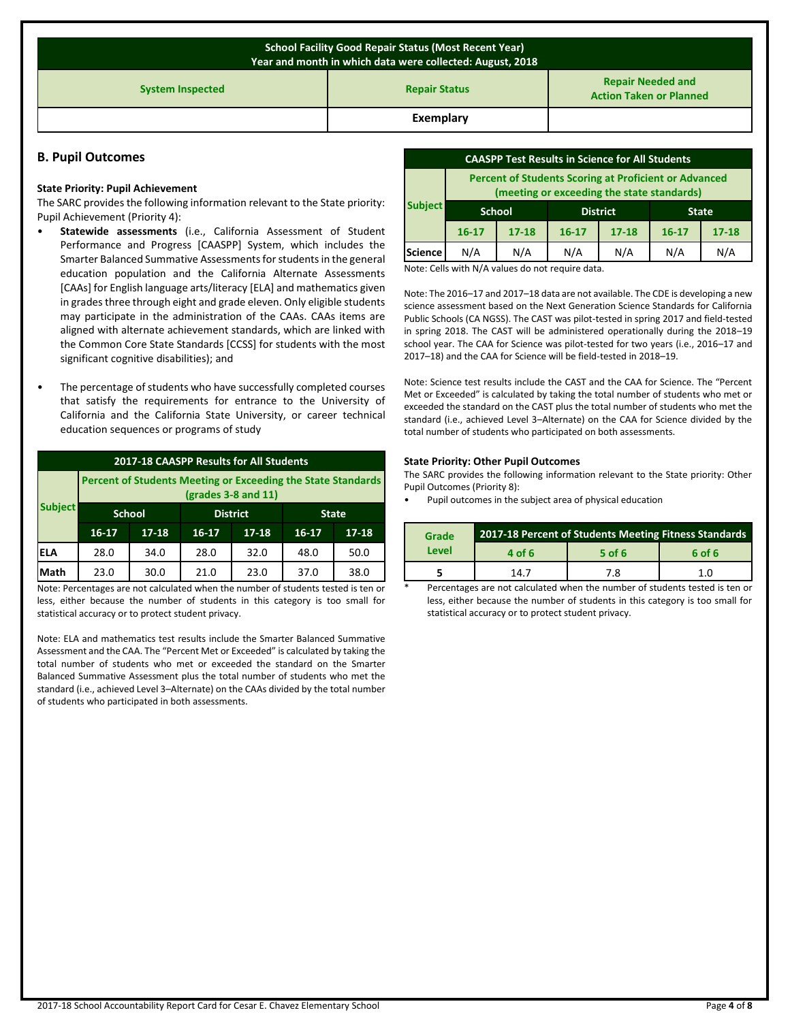| <b>School Facility Good Repair Status (Most Recent Year)</b><br>Year and month in which data were collected: August, 2018 |                                                            |  |  |  |  |
|---------------------------------------------------------------------------------------------------------------------------|------------------------------------------------------------|--|--|--|--|
| <b>System Inspected</b>                                                                                                   | <b>Repair Needed and</b><br><b>Action Taken or Planned</b> |  |  |  |  |
|                                                                                                                           | Exemplary                                                  |  |  |  |  |

#### **B. Pupil Outcomes**

#### **State Priority: Pupil Achievement**

The SARC provides the following information relevant to the State priority: Pupil Achievement (Priority 4):

- **Statewide assessments** (i.e., California Assessment of Student Performance and Progress [CAASPP] System, which includes the Smarter Balanced Summative Assessments for students in the general education population and the California Alternate Assessments [CAAs] for English language arts/literacy [ELA] and mathematics given in grades three through eight and grade eleven. Only eligible students may participate in the administration of the CAAs. CAAs items are aligned with alternate achievement standards, which are linked with the Common Core State Standards [CCSS] for students with the most significant cognitive disabilities); and
- The percentage of students who have successfully completed courses that satisfy the requirements for entrance to the University of California and the California State University, or career technical education sequences or programs of study

| 2017-18 CAASPP Results for All Students |                                                                                       |               |           |                 |           |              |  |
|-----------------------------------------|---------------------------------------------------------------------------------------|---------------|-----------|-----------------|-----------|--------------|--|
|                                         | Percent of Students Meeting or Exceeding the State Standards<br>$(grades 3-8 and 11)$ |               |           |                 |           |              |  |
| <b>Subject</b>                          |                                                                                       | <b>School</b> |           | <b>District</b> |           | <b>State</b> |  |
|                                         | $16 - 17$                                                                             | $17 - 18$     | $16 - 17$ | $17 - 18$       | $16 - 17$ | $17 - 18$    |  |
| ELA                                     | 28.0                                                                                  | 34.0          | 28.0      | 32.0            | 48.0      | 50.0         |  |
| Math                                    | 23.0                                                                                  | 30.0          | 21.0      | 23.0            | 37.0      | 38.0         |  |

Note: Percentages are not calculated when the number of students tested is ten or less, either because the number of students in this category is too small for statistical accuracy or to protect student privacy.

Note: ELA and mathematics test results include the Smarter Balanced Summative Assessment and the CAA. The "Percent Met or Exceeded" is calculated by taking the total number of students who met or exceeded the standard on the Smarter Balanced Summative Assessment plus the total number of students who met the standard (i.e., achieved Level 3–Alternate) on the CAAs divided by the total number of students who participated in both assessments.

| <b>CAASPP Test Results in Science for All Students</b>                                                     |                                                  |           |           |           |           |           |
|------------------------------------------------------------------------------------------------------------|--------------------------------------------------|-----------|-----------|-----------|-----------|-----------|
| <b>Percent of Students Scoring at Proficient or Advanced</b><br>(meeting or exceeding the state standards) |                                                  |           |           |           |           |           |
| <b>Subject</b>                                                                                             | <b>School</b><br><b>District</b><br><b>State</b> |           |           |           |           |           |
|                                                                                                            | $16 - 17$                                        | $17 - 18$ | $16 - 17$ | $17 - 18$ | $16 - 17$ | $17 - 18$ |
| <b>Science</b>                                                                                             | N/A                                              | N/A       | N/A       | N/A       | N/A       | N/A       |

Note: Cells with N/A values do not require data.

Note: The 2016–17 and 2017–18 data are not available. The CDE is developing a new science assessment based on the Next Generation Science Standards for California Public Schools (CA NGSS). The CAST was pilot-tested in spring 2017 and field-tested in spring 2018. The CAST will be administered operationally during the 2018–19 school year. The CAA for Science was pilot-tested for two years (i.e., 2016–17 and 2017–18) and the CAA for Science will be field-tested in 2018–19.

Note: Science test results include the CAST and the CAA for Science. The "Percent Met or Exceeded" is calculated by taking the total number of students who met or exceeded the standard on the CAST plus the total number of students who met the standard (i.e., achieved Level 3–Alternate) on the CAA for Science divided by the total number of students who participated on both assessments.

#### **State Priority: Other Pupil Outcomes**

The SARC provides the following information relevant to the State priority: Other Pupil Outcomes (Priority 8):

• Pupil outcomes in the subject area of physical education

| Grade | 2017-18 Percent of Students Meeting Fitness Standards |          |             |  |  |
|-------|-------------------------------------------------------|----------|-------------|--|--|
| Level | 4 of 6                                                | $5$ of 6 | 6 of 6      |  |  |
|       | 147                                                   | 7.8      | 1. $\Omega$ |  |  |

Percentages are not calculated when the number of students tested is ten or less, either because the number of students in this category is too small for statistical accuracy or to protect student privacy.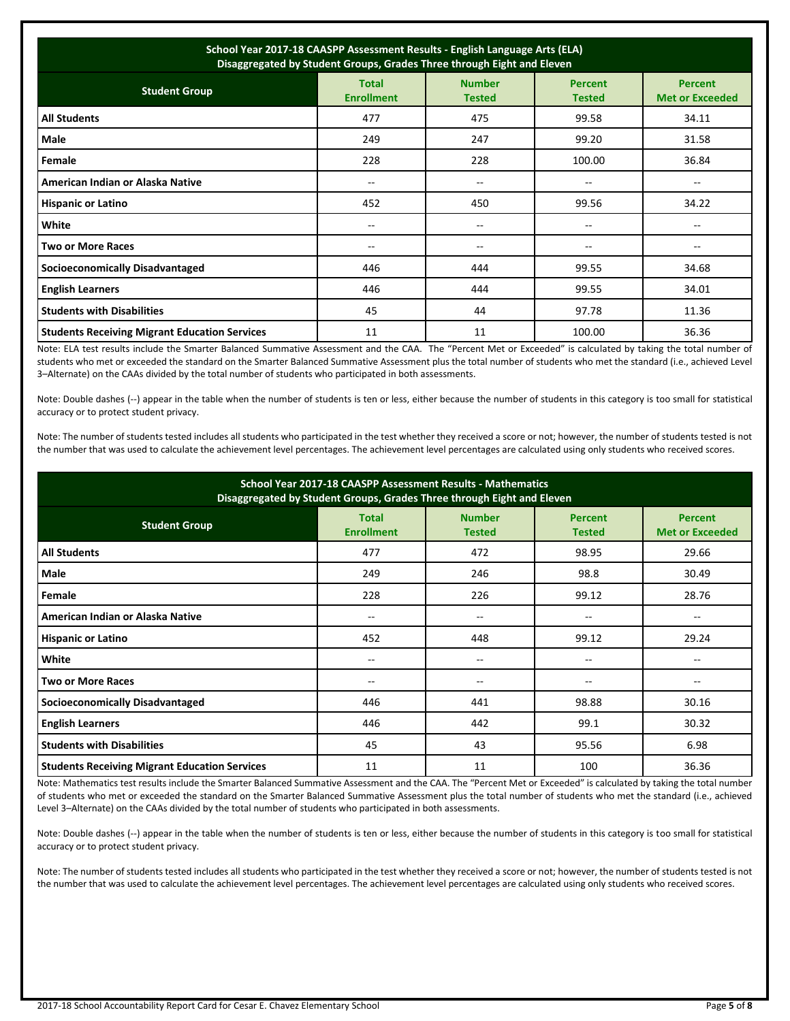| School Year 2017-18 CAASPP Assessment Results - English Language Arts (ELA)<br>Disaggregated by Student Groups, Grades Three through Eight and Eleven |                                   |                                |                                 |                                          |  |
|-------------------------------------------------------------------------------------------------------------------------------------------------------|-----------------------------------|--------------------------------|---------------------------------|------------------------------------------|--|
| <b>Student Group</b>                                                                                                                                  | <b>Total</b><br><b>Enrollment</b> | <b>Number</b><br><b>Tested</b> | <b>Percent</b><br><b>Tested</b> | <b>Percent</b><br><b>Met or Exceeded</b> |  |
| <b>All Students</b>                                                                                                                                   | 477                               | 475                            | 99.58                           | 34.11                                    |  |
| Male                                                                                                                                                  | 249                               | 247                            | 99.20                           | 31.58                                    |  |
| Female                                                                                                                                                | 228                               | 228                            | 100.00                          | 36.84                                    |  |
| American Indian or Alaska Native                                                                                                                      | --                                | --                             | --                              |                                          |  |
| <b>Hispanic or Latino</b>                                                                                                                             | 452                               | 450                            | 99.56                           | 34.22                                    |  |
| White                                                                                                                                                 | $-$                               | $\overline{a}$                 | --                              | $- -$                                    |  |
| Two or More Races                                                                                                                                     | $-$                               | $\qquad \qquad -$              | --                              | $- -$                                    |  |
| <b>Socioeconomically Disadvantaged</b>                                                                                                                | 446                               | 444                            | 99.55                           | 34.68                                    |  |
| <b>English Learners</b>                                                                                                                               | 446                               | 444                            | 99.55                           | 34.01                                    |  |
| <b>Students with Disabilities</b>                                                                                                                     | 45                                | 44                             | 97.78                           | 11.36                                    |  |
| <b>Students Receiving Migrant Education Services</b>                                                                                                  | 11                                | 11                             | 100.00                          | 36.36                                    |  |

Note: ELA test results include the Smarter Balanced Summative Assessment and the CAA. The "Percent Met or Exceeded" is calculated by taking the total number of students who met or exceeded the standard on the Smarter Balanced Summative Assessment plus the total number of students who met the standard (i.e., achieved Level 3–Alternate) on the CAAs divided by the total number of students who participated in both assessments.

Note: Double dashes (--) appear in the table when the number of students is ten or less, either because the number of students in this category is too small for statistical accuracy or to protect student privacy.

Note: The number of students tested includes all students who participated in the test whether they received a score or not; however, the number of students tested is not the number that was used to calculate the achievement level percentages. The achievement level percentages are calculated using only students who received scores.

| School Year 2017-18 CAASPP Assessment Results - Mathematics<br>Disaggregated by Student Groups, Grades Three through Eight and Eleven                                      |       |       |       |       |  |  |  |
|----------------------------------------------------------------------------------------------------------------------------------------------------------------------------|-------|-------|-------|-------|--|--|--|
| <b>Number</b><br><b>Total</b><br><b>Percent</b><br><b>Percent</b><br><b>Student Group</b><br><b>Enrollment</b><br><b>Tested</b><br><b>Met or Exceeded</b><br><b>Tested</b> |       |       |       |       |  |  |  |
| <b>All Students</b>                                                                                                                                                        | 477   | 472   | 98.95 | 29.66 |  |  |  |
| Male                                                                                                                                                                       | 249   | 246   | 98.8  | 30.49 |  |  |  |
| Female                                                                                                                                                                     | 228   | 226   | 99.12 | 28.76 |  |  |  |
| American Indian or Alaska Native                                                                                                                                           | --    | $- -$ | --    | --    |  |  |  |
| <b>Hispanic or Latino</b>                                                                                                                                                  | 452   | 448   | 99.12 | 29.24 |  |  |  |
| White                                                                                                                                                                      | $- -$ | --    | --    | --    |  |  |  |
| <b>Two or More Races</b>                                                                                                                                                   | --    | --    | --    | --    |  |  |  |
| <b>Socioeconomically Disadvantaged</b>                                                                                                                                     | 446   | 441   | 98.88 | 30.16 |  |  |  |
| <b>English Learners</b>                                                                                                                                                    | 446   | 442   | 99.1  | 30.32 |  |  |  |
| <b>Students with Disabilities</b>                                                                                                                                          | 45    | 43    | 95.56 | 6.98  |  |  |  |
| <b>Students Receiving Migrant Education Services</b>                                                                                                                       | 11    | 11    | 100   | 36.36 |  |  |  |

Note: Mathematics test results include the Smarter Balanced Summative Assessment and the CAA. The "Percent Met or Exceeded" is calculated by taking the total number of students who met or exceeded the standard on the Smarter Balanced Summative Assessment plus the total number of students who met the standard (i.e., achieved Level 3–Alternate) on the CAAs divided by the total number of students who participated in both assessments.

Note: Double dashes (--) appear in the table when the number of students is ten or less, either because the number of students in this category is too small for statistical accuracy or to protect student privacy.

Note: The number of students tested includes all students who participated in the test whether they received a score or not; however, the number of students tested is not the number that was used to calculate the achievement level percentages. The achievement level percentages are calculated using only students who received scores.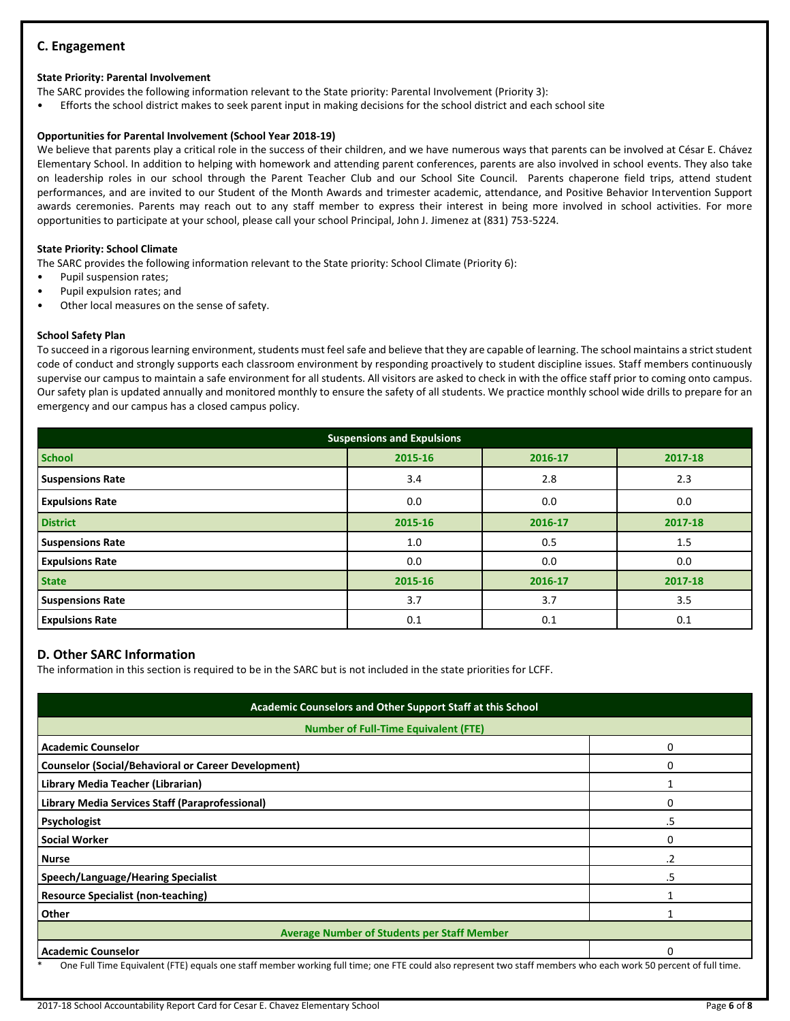## **C. Engagement**

#### **State Priority: Parental Involvement**

The SARC provides the following information relevant to the State priority: Parental Involvement (Priority 3):

• Efforts the school district makes to seek parent input in making decisions for the school district and each school site

#### **Opportunities for Parental Involvement (School Year 2018-19)**

We believe that parents play a critical role in the success of their children, and we have numerous ways that parents can be involved at César E. Chávez Elementary School. In addition to helping with homework and attending parent conferences, parents are also involved in school events. They also take on leadership roles in our school through the Parent Teacher Club and our School Site Council. Parents chaperone field trips, attend student performances, and are invited to our Student of the Month Awards and trimester academic, attendance, and Positive Behavior Intervention Support awards ceremonies. Parents may reach out to any staff member to express their interest in being more involved in school activities. For more opportunities to participate at your school, please call your school Principal, John J. Jimenez at (831) 753-5224.

#### **State Priority: School Climate**

The SARC provides the following information relevant to the State priority: School Climate (Priority 6):

- Pupil suspension rates;
- Pupil expulsion rates; and
- Other local measures on the sense of safety.

#### **School Safety Plan**

To succeed in a rigorous learning environment, students must feel safe and believe that they are capable of learning. The school maintains a strict student code of conduct and strongly supports each classroom environment by responding proactively to student discipline issues. Staff members continuously supervise our campus to maintain a safe environment for all students. All visitors are asked to check in with the office staff prior to coming onto campus. Our safety plan is updated annually and monitored monthly to ensure the safety of all students. We practice monthly school wide drills to prepare for an emergency and our campus has a closed campus policy.

| <b>Suspensions and Expulsions</b> |         |         |         |  |  |  |
|-----------------------------------|---------|---------|---------|--|--|--|
| <b>School</b>                     | 2015-16 | 2016-17 | 2017-18 |  |  |  |
| <b>Suspensions Rate</b>           | 3.4     | 2.8     | 2.3     |  |  |  |
| <b>Expulsions Rate</b>            | 0.0     | 0.0     | 0.0     |  |  |  |
| <b>District</b>                   | 2015-16 | 2016-17 | 2017-18 |  |  |  |
| <b>Suspensions Rate</b>           | 1.0     | 0.5     | 1.5     |  |  |  |
| <b>Expulsions Rate</b>            | 0.0     | 0.0     | 0.0     |  |  |  |
| <b>State</b>                      | 2015-16 | 2016-17 | 2017-18 |  |  |  |
| <b>Suspensions Rate</b>           | 3.7     | 3.7     | 3.5     |  |  |  |
| <b>Expulsions Rate</b>            | 0.1     | 0.1     | 0.1     |  |  |  |

## **D. Other SARC Information**

The information in this section is required to be in the SARC but is not included in the state priorities for LCFF.

| Academic Counselors and Other Support Staff at this School<br><b>Number of Full-Time Equivalent (FTE)</b>                                                       |          |  |  |  |
|-----------------------------------------------------------------------------------------------------------------------------------------------------------------|----------|--|--|--|
|                                                                                                                                                                 |          |  |  |  |
| <b>Counselor (Social/Behavioral or Career Development)</b>                                                                                                      | 0        |  |  |  |
| Library Media Teacher (Librarian)                                                                                                                               |          |  |  |  |
| Library Media Services Staff (Paraprofessional)                                                                                                                 | 0        |  |  |  |
| Psychologist                                                                                                                                                    | .5       |  |  |  |
| <b>Social Worker</b>                                                                                                                                            | 0        |  |  |  |
| <b>Nurse</b>                                                                                                                                                    | .2       |  |  |  |
| Speech/Language/Hearing Specialist                                                                                                                              | .5       |  |  |  |
| <b>Resource Specialist (non-teaching)</b>                                                                                                                       |          |  |  |  |
| Other                                                                                                                                                           |          |  |  |  |
| <b>Average Number of Students per Staff Member</b>                                                                                                              |          |  |  |  |
| <b>Academic Counselor</b>                                                                                                                                       | $\Omega$ |  |  |  |
| One Full Time Equivalent (FTE) equals one staff member working full time; one FTE could also represent two staff members who each work 50 percent of full time. |          |  |  |  |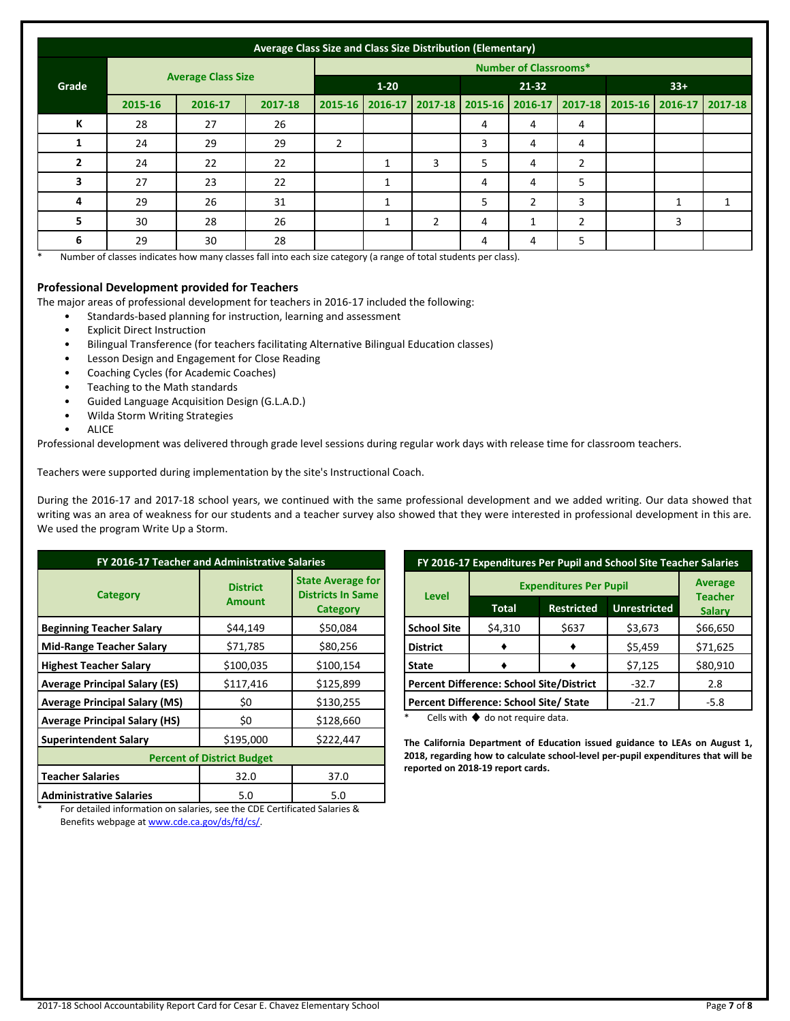|       | Average Class Size and Class Size Distribution (Elementary) |         |          |                |              |   |                         |                |                |  |                                 |   |
|-------|-------------------------------------------------------------|---------|----------|----------------|--------------|---|-------------------------|----------------|----------------|--|---------------------------------|---|
|       | <b>Number of Classrooms*</b>                                |         |          |                |              |   |                         |                |                |  |                                 |   |
| Grade | <b>Average Class Size</b>                                   |         | $1 - 20$ |                | $21 - 32$    |   | $33+$                   |                |                |  |                                 |   |
|       | 2015-16                                                     | 2016-17 | 2017-18  | 2015-16        | 2016-17      |   | 2017-18 2015-16 2016-17 |                |                |  | 2017-18 2015-16 2016-17 2017-18 |   |
| К     | 28                                                          | 27      | 26       |                |              |   | 4                       | 4              | 4              |  |                                 |   |
|       | 24                                                          | 29      | 29       | $\overline{2}$ |              |   | 3                       | 4              | 4              |  |                                 |   |
|       | 24                                                          | 22      | 22       |                |              | 3 | 5                       | 4              | 2              |  |                                 |   |
| 3     | 27                                                          | 23      | 22       |                | $\mathbf{1}$ |   | 4                       | 4              | 5              |  |                                 |   |
| 4     | 29                                                          | 26      | 31       |                | $\mathbf{1}$ |   | 5                       | $\overline{2}$ | 3              |  |                                 | 1 |
| 5     | 30                                                          | 28      | 26       |                |              | 2 | 4                       |                | $\overline{2}$ |  | 3                               |   |
| 6     | 29                                                          | 30      | 28       |                |              |   | 4                       | 4              | 5              |  |                                 |   |

Number of classes indicates how many classes fall into each size category (a range of total students per class).

#### **Professional Development provided for Teachers**

The major areas of professional development for teachers in 2016-17 included the following:

- Standards-based planning for instruction, learning and assessment
- **Explicit Direct Instruction**
- Bilingual Transference (for teachers facilitating Alternative Bilingual Education classes)
- Lesson Design and Engagement for Close Reading
- Coaching Cycles (for Academic Coaches)
- Teaching to the Math standards
- Guided Language Acquisition Design (G.L.A.D.)
- Wilda Storm Writing Strategies
- **ALICE**

Professional development was delivered through grade level sessions during regular work days with release time for classroom teachers.

Teachers were supported during implementation by the site's Instructional Coach.

During the 2016-17 and 2017-18 school years, we continued with the same professional development and we added writing. Our data showed that writing was an area of weakness for our students and a teacher survey also showed that they were interested in professional development in this are. We used the program Write Up a Storm.

| FY 2016-17 Teacher and Administrative Salaries |                                  |                                                                         |  |  |  |
|------------------------------------------------|----------------------------------|-------------------------------------------------------------------------|--|--|--|
| Category                                       | <b>District</b><br><b>Amount</b> | <b>State Average for</b><br><b>Districts In Same</b><br><b>Category</b> |  |  |  |
| <b>Beginning Teacher Salary</b>                | \$44,149                         | \$50,084                                                                |  |  |  |
| <b>Mid-Range Teacher Salary</b>                | \$71,785                         | \$80,256                                                                |  |  |  |
| <b>Highest Teacher Salary</b>                  | \$100,035                        | \$100,154                                                               |  |  |  |
| <b>Average Principal Salary (ES)</b>           | \$117,416                        | \$125,899                                                               |  |  |  |
| <b>Average Principal Salary (MS)</b>           | \$0                              | \$130,255                                                               |  |  |  |
| <b>Average Principal Salary (HS)</b>           | \$0                              | \$128,660                                                               |  |  |  |
| <b>Superintendent Salary</b>                   | \$195,000                        | \$222,447                                                               |  |  |  |
| <b>Percent of District Budget</b>              |                                  |                                                                         |  |  |  |
| <b>Teacher Salaries</b>                        | 32.0                             | 37.0                                                                    |  |  |  |
| <b>Administrative Salaries</b>                 | 5.0                              | 5.0                                                                     |  |  |  |

| FY 2016-17 Expenditures Per Pupil and School Site Teacher Salaries |                                        |                   |                     |                                 |  |
|--------------------------------------------------------------------|----------------------------------------|-------------------|---------------------|---------------------------------|--|
|                                                                    | <b>Expenditures Per Pupil</b>          | <b>Average</b>    |                     |                                 |  |
| <b>Level</b>                                                       | Total                                  | <b>Restricted</b> | <b>Unrestricted</b> | <b>Teacher</b><br><b>Salary</b> |  |
| <b>School Site</b>                                                 | \$4,310                                | \$637             | \$3,673             | \$66,650                        |  |
| <b>District</b>                                                    |                                        |                   | \$5,459             | \$71,625                        |  |
| <b>State</b>                                                       |                                        |                   | \$7,125             | \$80,910                        |  |
| Percent Difference: School Site/District                           |                                        |                   | $-32.7$             | 2.8                             |  |
|                                                                    | Percent Difference: School Site/ State | $-21.7$           | $-5.8$              |                                 |  |

Cells with  $\blacklozenge$  do not require data.

**The California Department of Education issued guidance to LEAs on August 1, 2018, regarding how to calculate school-level per-pupil expenditures that will be reported on 2018-19 report cards.**

For detailed information on salaries, see the CDE Certificated Salaries & Benefits webpage a[t www.cde.ca.gov/ds/fd/cs/.](http://www.cde.ca.gov/ds/fd/cs/)